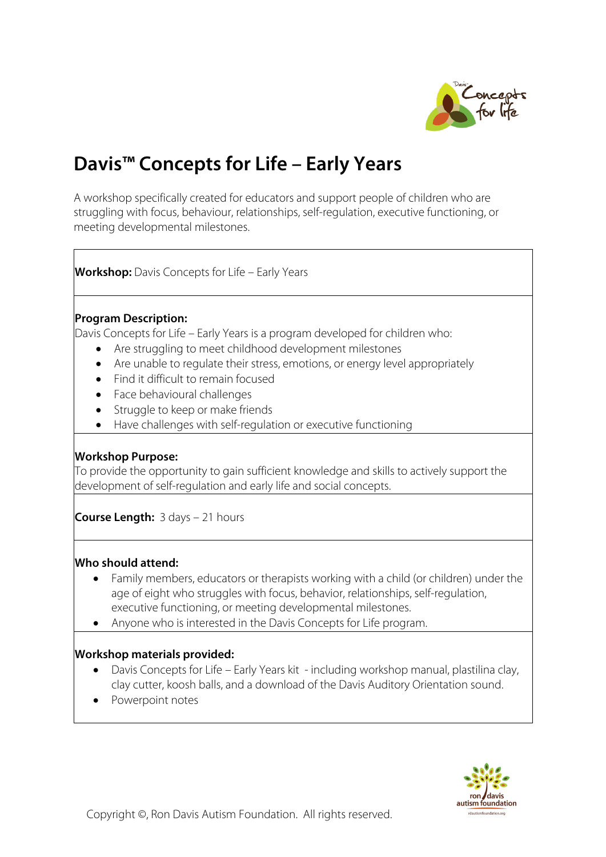

# **Davis™ Concepts for Life – Early Years**

A workshop specifically created for educators and support people of children who are struggling with focus, behaviour, relationships, self-regulation, executive functioning, or meeting developmental milestones.

**Workshop:** Davis Concepts for Life – Early Years

#### **Program Description:**

Davis Concepts for Life – Early Years is a program developed for children who:

- Are struggling to meet childhood development milestones
- Are unable to regulate their stress, emotions, or energy level appropriately
- Find it difficult to remain focused
- Face behavioural challenges
- Struggle to keep or make friends
- Have challenges with self-regulation or executive functioning

# **Workshop Purpose:**

To provide the opportunity to gain sufficient knowledge and skills to actively support the development of self-regulation and early life and social concepts.

**Course Length:** 3 days – 21 hours

#### **Who should attend:**

- Family members, educators or therapists working with a child (or children) under the age of eight who struggles with focus, behavior, relationships, self-regulation, executive functioning, or meeting developmental milestones.
- Anyone who is interested in the Davis Concepts for Life program.

# **Workshop materials provided:**

- Davis Concepts for Life Early Years kit including workshop manual, plastilina clay, clay cutter, koosh balls, and a download of the Davis Auditory Orientation sound.
- Powerpoint notes